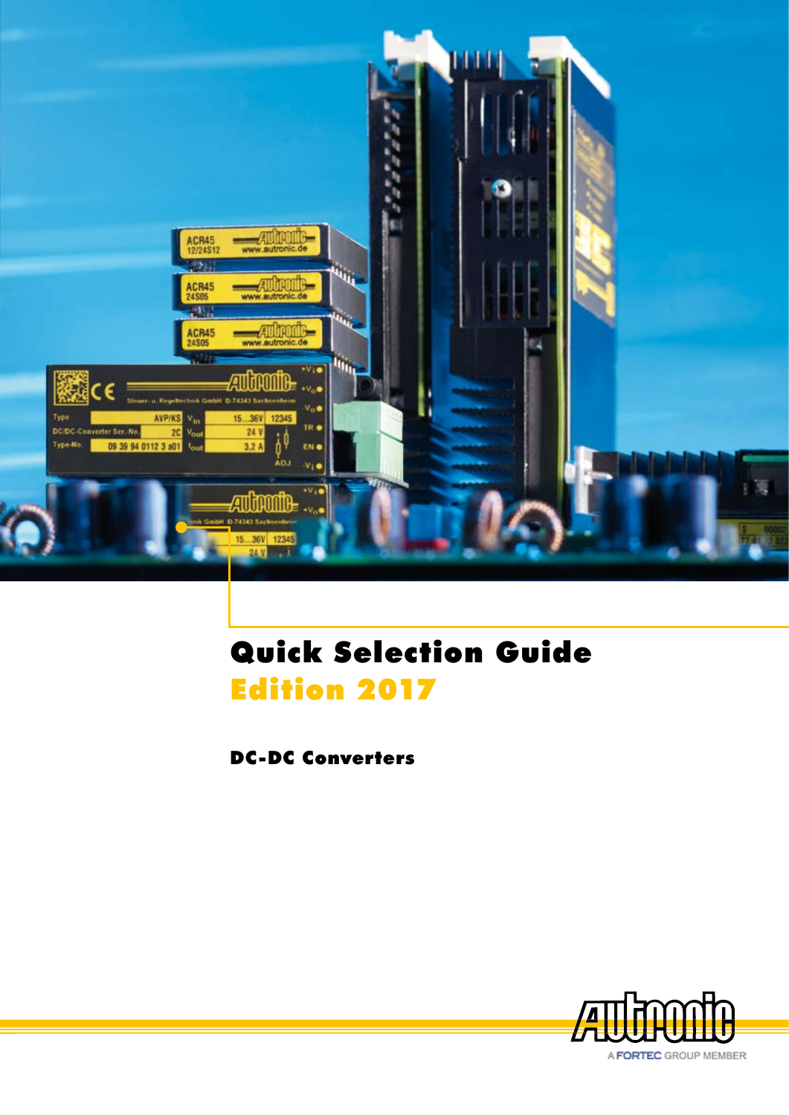

# Quick Selection Guide Edition 2017

DC-DC Converters

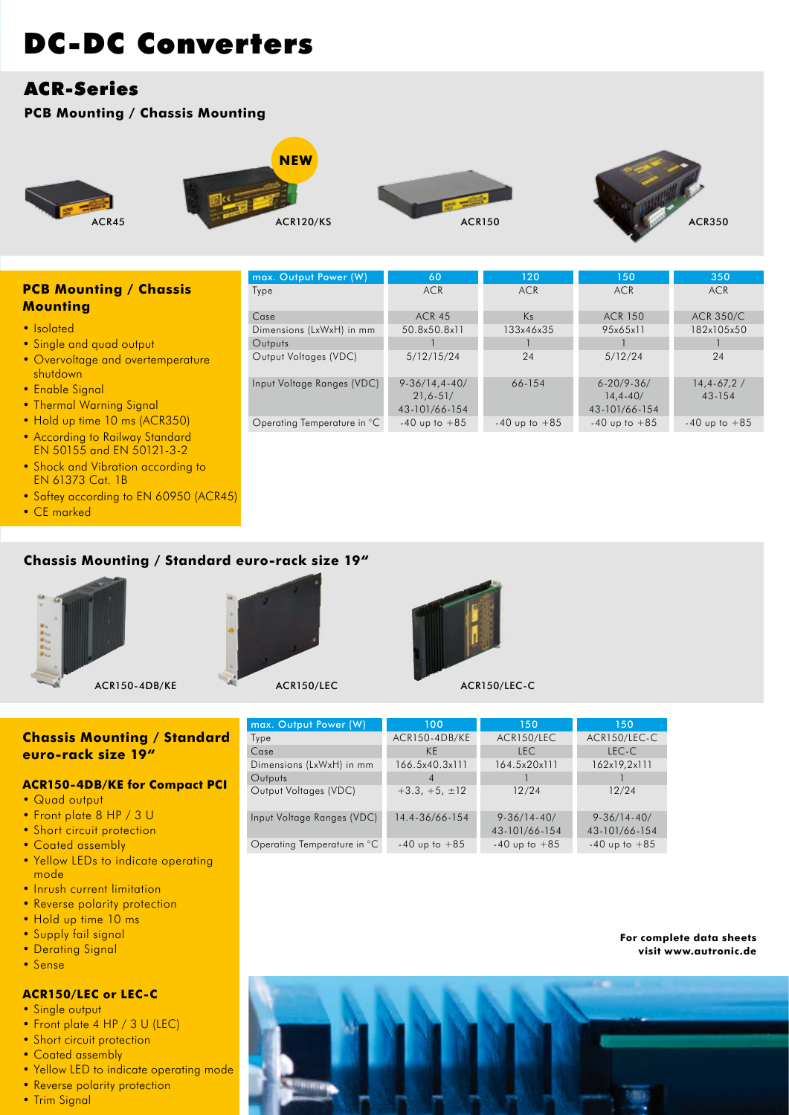# ACR-Series

### **PCB Mounting / Chassis Mounting**





max. Output Power (W)



60 ACR



350 ACR

150 ACR

1 12/24 9-36/14-40/ 43-101/66-154  $-40$  up to  $+85$ 

### **PCB Mounting / Chassis Mounting**

- Isolated
- Single and quad output
- Overvoltage and overtemperature shutdown
- Enable Signal
- Thermal Warning Signal
- Hold up time 10 ms (ACR350)
- According to Railway Standard EN 50155 and EN 50121-3-2
- Shock and Vibration according to EN 61373 Cat. 1B
- Saftey according to EN 60950 (ACR45)
- CE marked

## **Chassis Mounting / Standard euro-rack size 19"**





max. Outpu Type Case Dimensions ( **Outputs** 

Output Voltages (VDC)

Input Voltage Ranges (VDC)

Operating Temperature in °C



## **Chassis Mounting / Standard euro-rack size 19"**

#### **ACR150-4DB/KE for Compact PCI**

- Quad output
- Front plate 8 HP / 3 U
- Short circuit protection
- Coated assembly
- Yellow LEDs to indicate operating mode
- Inrush current limitation
- Reverse polarity protection
- Hold up time 10 ms
- Supply fail signal
- Derating Signal
- Sense

#### **ACR150/LEC or LEC-C**

- Single output
- Front plate 4 HP / 3 U (LEC)
- Short circuit protection
- Coated assembly
- Yellow LED to indicate operating mode • Reverse polarity protection
- Trim Signal

| 0/LEC<br>ACR150/LEC-C |                |              |              |  |  |
|-----------------------|----------------|--------------|--------------|--|--|
|                       |                |              |              |  |  |
| <b>Power (W)</b>      | 100            | 150          | 150          |  |  |
|                       | ACR150-4DB/KE  | ACR150/LEC   | ACR150/LEC-C |  |  |
|                       | <b>KE</b>      | <b>LEC</b>   | LEC-C        |  |  |
| LxWxH) in mm          | 166.5x40.3x111 | 164.5x20x111 | 162x19,2x111 |  |  |

4  $+3.3, +5, \pm 12$ 14.4-36/66-154

-40 up to +85

**For complete data sheets visit www.autronic.de**



1 12/24 9-36/14-40/ 43-101/66-154  $-40$  up to  $+85$ 

Type Case Dimensions (LxWxH) in mm **Outputs** Output Voltages (VDC) Input Voltage Ranges (VDC) Operating Temperature in °C ACR 45 50.8x50.8x11 1 5/12/15/24 9-36/14,4-40/ 21,6-51/ 43-101/66-154  $-40$  up to  $+85$ ACR 150 95x65x11 1 5/12/24 6-20/9-36/ 14,4-40/ 43-101/66-154  $-40$  up to  $+85$ ACR 350/C 182x105x50 1 24 14,4-67,2 / 43-154  $-40$  up to  $+85$ Ks 133x46x35 1 24 66-154  $-40$  up to  $+85$ 

120 ACR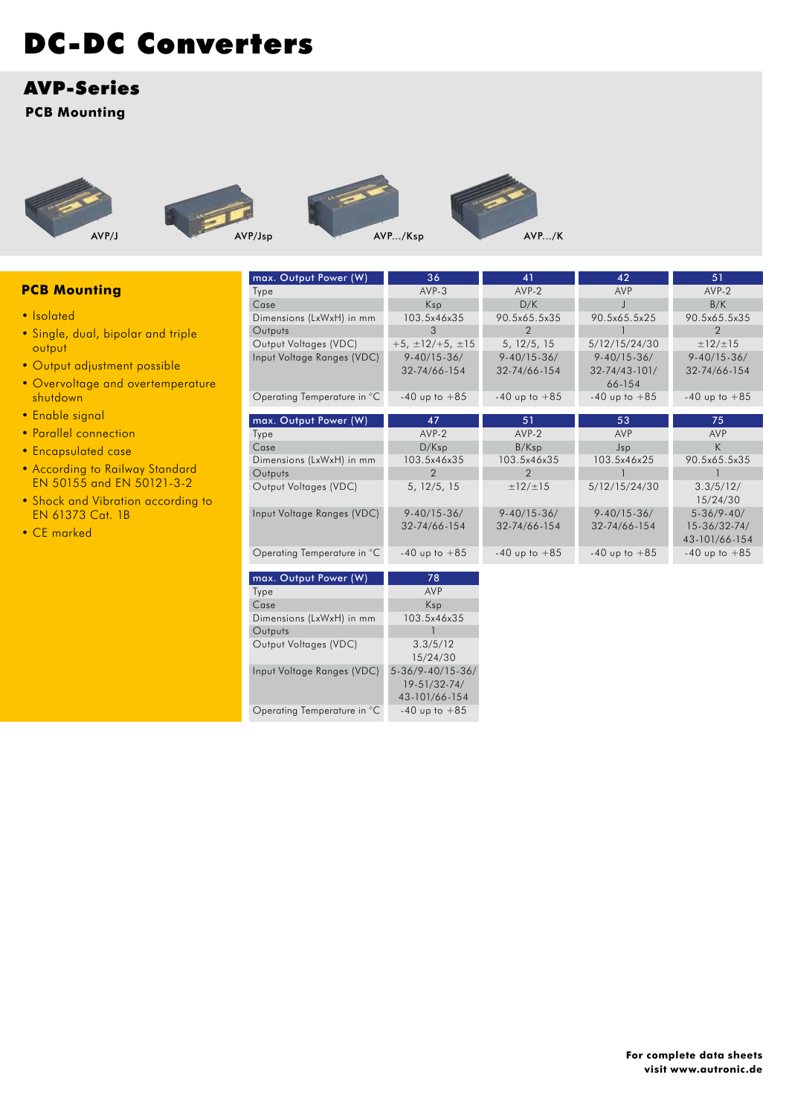## AVP-Series

**PCB Mounting**









| AVP/K |
|-------|
|-------|

|                                    | max. Output Power (W)       | 36                                | 41                                | 42                                       | 51                                |
|------------------------------------|-----------------------------|-----------------------------------|-----------------------------------|------------------------------------------|-----------------------------------|
| <b>PCB Mounting</b>                | Type                        | $AVP-3$                           | $AVP-2$                           | <b>AVP</b>                               | AVP-2                             |
|                                    | Case                        | Ksp                               | D/K                               |                                          | B/K                               |
| • Isolated                         | Dimensions (LxWxH) in mm    | 103.5x46x35                       | 90.5x65.5x35                      | 90.5x65.5x25                             | 90.5x65.5x35                      |
| • Single, dual, bipolar and triple | Outputs                     | 3                                 | 2                                 |                                          | 2                                 |
| output                             | Output Voltages (VDC)       | $+5, \pm 12/ + 5, \pm 15$         | 5, 12/5, 15                       | 5/12/15/24/30                            | $\pm$ 12/ $\pm$ 15                |
| • Output adjustment possible       | Input Voltage Ranges (VDC)  | $9 - 40/15 - 36/$<br>32-74/66-154 | $9 - 40/15 - 36/$<br>32-74/66-154 | $9 - 40/15 - 36/$<br>$32 - 74/43 - 101/$ | $9 - 40/15 - 36/$<br>32-74/66-154 |
| • Overvoltage and overtemperature  |                             |                                   |                                   | 66-154                                   |                                   |
| shutdown                           | Operating Temperature in °C | $-40$ up to $+85$                 | $-40$ up to $+85$                 | $-40$ up to $+85$                        | $-40$ up to $+85$                 |
| • Enable signal                    | max. Output Power (W)       | 47                                | 51                                | 53                                       | 75                                |
| • Parallel connection              | Type                        | AVP-2                             | $AVP-2$                           | <b>AVP</b>                               | <b>AVP</b>                        |
| • Encapsulated case                | Case                        | D/Ksp                             | B/Ksp                             | Jsp                                      | K.                                |
|                                    | Dimensions (LxWxH) in mm    | 103.5x46x35                       | 103.5x46x35                       | 103.5x46x25                              | 90.5x65.5x35                      |
| • According to Railway Standard    | Outputs                     | 2                                 | 2                                 |                                          |                                   |
| EN 50155 and EN 50121-3-2          | Output Voltages (VDC)       | 5, 12/5, 15                       | $\pm$ 12/ $\pm$ 15                | 5/12/15/24/30                            | 3.3/5/12/                         |
| . Shock and Vibration according to |                             |                                   |                                   |                                          | 15/24/30                          |
| <b>EN 61373 Cat. 1B</b>            | Input Voltage Ranges (VDC)  | $9 - 40/15 - 36/$                 | $9 - 40/15 - 36/$                 | $9 - 40/15 - 36/$                        | $5 - 36/9 - 40/$                  |
| • CE marked                        |                             | 32-74/66-154                      | 32-74/66-154                      | 32-74/66-154                             | $15 - 36/32 - 74/$                |
|                                    |                             |                                   |                                   |                                          | 43-101/66-154                     |
|                                    | Operating Temperature in °C | $-40$ up to $+85$                 | $-40$ up to $+85$                 | $-40$ up to $+85$                        | $-40$ up to $+85$                 |
|                                    | max. Output Power (W)       | 78                                |                                   |                                          |                                   |
|                                    | Type                        | AVP                               |                                   |                                          |                                   |
|                                    |                             |                                   |                                   |                                          |                                   |

| max. Output Power (W)       | 78                |
|-----------------------------|-------------------|
| Type                        | AVP               |
| Case                        | Ksp               |
| Dimensions (LxWxH) in mm    | 103.5x46x35       |
| Outputs                     |                   |
| Output Voltages (VDC)       | 3.3/5/12          |
|                             | 15/24/30          |
| Input Voltage Ranges (VDC)  | 5-36/9-40/15-36/  |
|                             | 19-51/32-74/      |
|                             | 43-101/66-154     |
| Operating Temperature in °C | $-40$ up to $+85$ |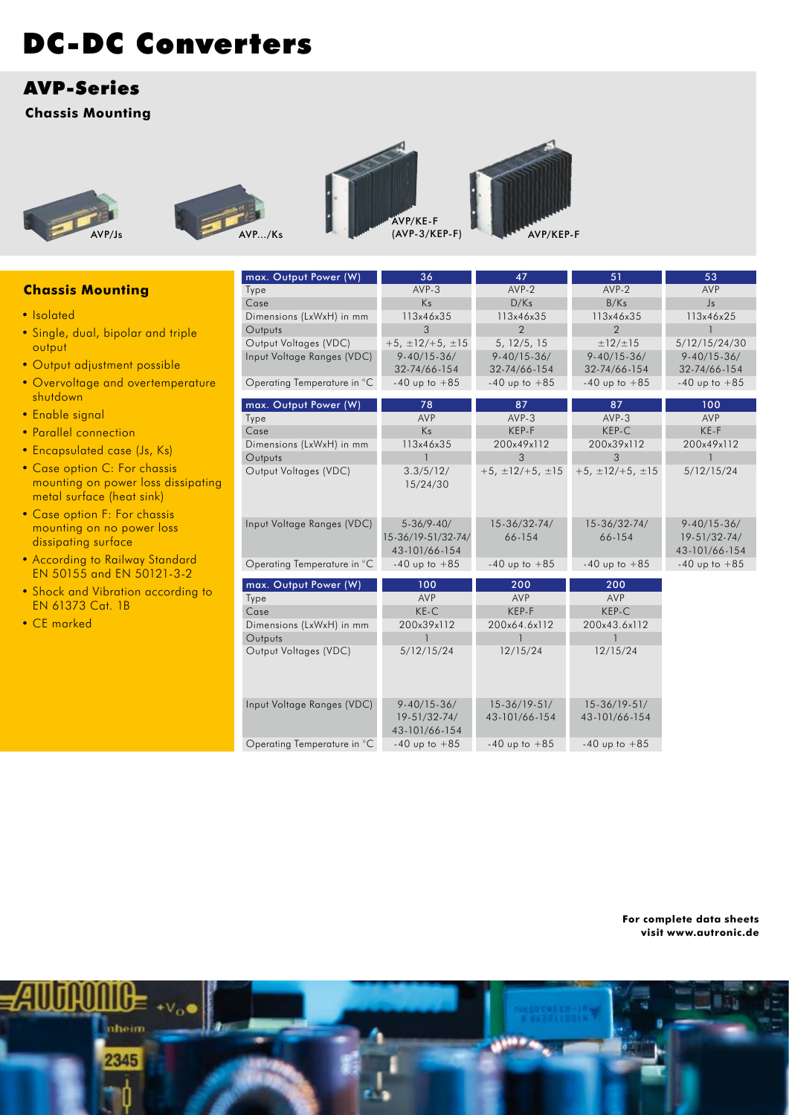# AVP-Series

**Chassis Mounting**









|                                    | max. Output Power (W)       | 36                            | 47                        | 51                        | 53                     |
|------------------------------------|-----------------------------|-------------------------------|---------------------------|---------------------------|------------------------|
| <b>Chassis Mounting</b>            | Type                        | $AVP-3$                       | $AVP-2$                   | $AVP-2$                   | AVP                    |
|                                    | Case                        | Ks                            | D/Ks                      | B/Ks                      | $\mathsf{J}\mathsf{s}$ |
| • Isolated                         | Dimensions (LxWxH) in mm    | 113x46x35                     | 113x46x35                 | 113x46x35                 | 113x46x25              |
| • Single, dual, bipolar and triple | Outputs                     | 3                             | $\overline{2}$            | 2                         |                        |
| output                             | Output Voltages (VDC)       | $+5, \pm 12/ + 5, \pm 15$     | 5, 12/5, 15               | $\pm$ 12/ $\pm$ 15        | 5/12/15/24/30          |
| • Output adjustment possible       | Input Voltage Ranges (VDC)  | $9 - 40/15 - 36/$             | $9 - 40/15 - 36/$         | $9 - 40/15 - 36/$         | $9 - 40/15 - 36/$      |
|                                    |                             | 32-74/66-154                  | 32-74/66-154              | 32-74/66-154              | 32-74/66-154           |
| • Overvoltage and overtemperature  | Operating Temperature in °C | $-40$ up to $+85$             | $-40$ up to $+85$         | $-40$ up to $+85$         | $-40$ up to $+85$      |
| shutdown                           | max. Output Power (W)       | 78                            | 87                        | 87                        | 100                    |
| · Enable signal                    | Type                        | AVP                           | $AVP-3$                   | $AVP-3$                   | AVP                    |
| • Parallel connection              | Case                        | Ks                            | KEP-F                     | KEP-C                     | KE-F                   |
|                                    | Dimensions (LxWxH) in mm    | 113x46x35                     | 200x49x112                | 200x39x112                | 200x49x112             |
| • Encapsulated case (Js, Ks)       | Outputs                     |                               | 3                         | 3                         |                        |
| • Case option C: For chassis       | Output Voltages (VDC)       | 3.3/5/12/                     | $+5, \pm 12/ + 5, \pm 15$ | $+5, \pm 12/ + 5, \pm 15$ | 5/12/15/24             |
| mounting on power loss dissipating |                             | 15/24/30                      |                           |                           |                        |
| metal surface (heat sink)          |                             |                               |                           |                           |                        |
| • Case option F: For chassis       |                             |                               |                           |                           |                        |
| mounting on no power loss          | Input Voltage Ranges (VDC)  | $5 - 36/9 - 40/$              | $15 - 36/32 - 74/$        | $15 - 36/32 - 74/$        | $9 - 40/15 - 36/$      |
| dissipating surface                |                             | 15-36/19-51/32-74/            | 66-154                    | 66-154                    | 19-51/32-74/           |
| • According to Railway Standard    |                             | 43-101/66-154                 |                           |                           | 43-101/66-154          |
| EN 50155 and EN 50121-3-2          | Operating Temperature in °C | $-40$ up to $+85$             | $-40$ up to $+85$         | $-40$ up to $+85$         | $-40$ up to $+85$      |
|                                    | max. Output Power (W)       | 100                           | 200                       | 200                       |                        |
| . Shock and Vibration according to | Type                        | <b>AVP</b>                    | AVP                       | AVP                       |                        |
| EN 61373 Cat. 1B                   | Case                        | $KE-C$                        | KEP-F                     | KEP-C                     |                        |
| • CE marked                        | Dimensions (LxWxH) in mm    | 200x39x112                    | 200x64.6x112              | 200x43.6x112              |                        |
|                                    | Outputs                     |                               |                           |                           |                        |
|                                    | Output Voltages (VDC)       | 5/12/15/24                    | 12/15/24                  | 12/15/24                  |                        |
|                                    |                             |                               |                           |                           |                        |
|                                    |                             |                               |                           |                           |                        |
|                                    |                             |                               |                           |                           |                        |
|                                    | Input Voltage Ranges (VDC)  | $9 - 40/15 - 36/$             | $15 - 36/19 - 51/$        | $15 - 36/19 - 51/$        |                        |
|                                    |                             | 19-51/32-74/<br>43-101/66-154 | 43-101/66-154             | 43-101/66-154             |                        |
|                                    | Operating Temperature in °C | $-40$ up to $+85$             | $-40$ up to $+85$         | $-40$ up to $+85$         |                        |

**For complete data sheets visit www.autronic.de**

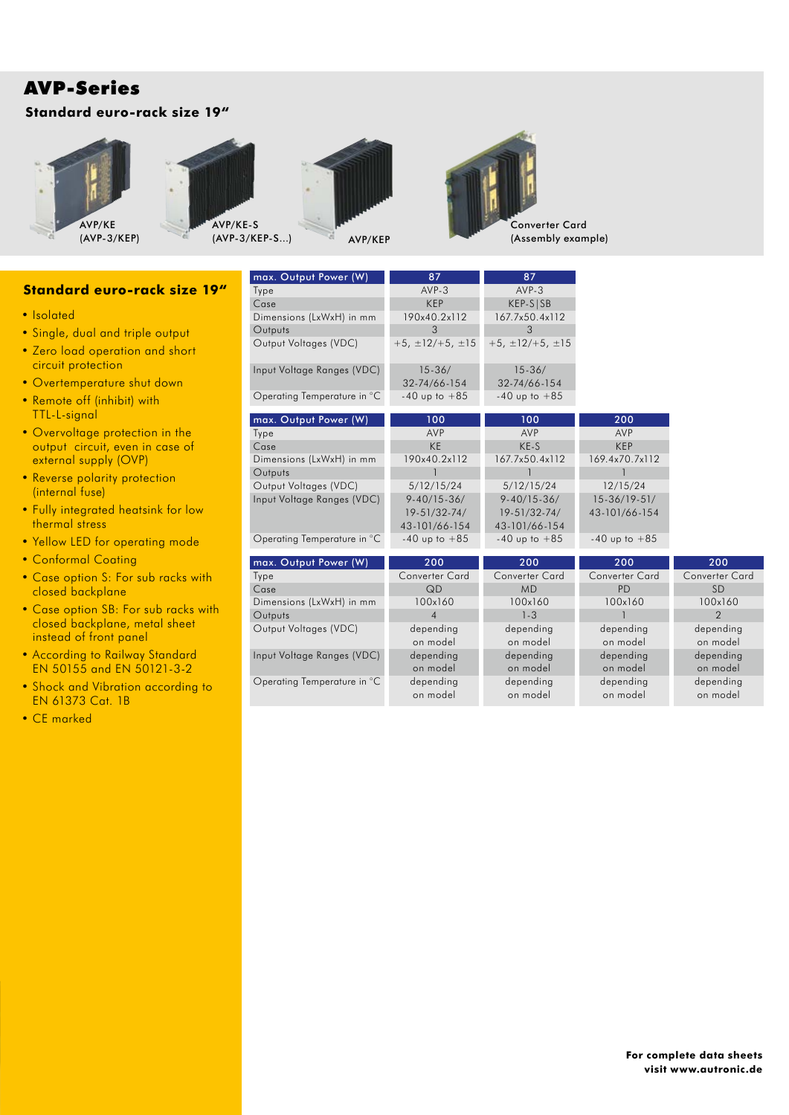# AVP-Series

## **Standard euro-rack size 19"**







max. Output Power (W)

Input Voltage Ranges (VDC)

Operating Temperature in °C



87

| <b>Standard euro-rack size 19"</b>                    | Type                        | AVP-3                      | $AVP-3$                    |                       |                       |
|-------------------------------------------------------|-----------------------------|----------------------------|----------------------------|-----------------------|-----------------------|
|                                                       | Case                        | <b>KEP</b>                 | $KEP-S SB$                 |                       |                       |
| • Isolated                                            | Dimensions (LxWxH) in mm    | 190x40.2x112               | 167.7x50.4x112             |                       |                       |
| • Single, dual and triple output                      | Outputs                     | 3                          | $\mathcal{S}$              |                       |                       |
| • Zero load operation and short<br>circuit protection | Output Voltages (VDC)       | $+5, \pm 12/ + 5, \pm 15$  | $+5, \pm 12/ + 5, \pm 15$  |                       |                       |
| • Overtemperature shut down                           | Input Voltage Ranges (VDC)  | $15 - 36/$<br>32-74/66-154 | $15 - 36/$<br>32-74/66-154 |                       |                       |
| • Remote off (inhibit) with                           | Operating Temperature in °C | $-40$ up to $+85$          | $-40$ up to $+85$          |                       |                       |
| TTL-L-signal                                          | max. Output Power (W)       | 100                        | 100                        | 200                   |                       |
| • Overvoltage protection in the                       | Type                        | AVP                        | AVP                        | AVP                   |                       |
| output circuit, even in case of                       | Case                        | <b>KE</b>                  | KE-S                       | <b>KEP</b>            |                       |
| external supply (OVP)                                 | Dimensions (LxWxH) in mm    | 190x40.2x112               | 167.7x50.4x112             | 169.4x70.7x112        |                       |
| • Reverse polarity protection                         | Outputs                     |                            |                            |                       |                       |
| (internal fuse)                                       | Output Voltages (VDC)       | 5/12/15/24                 | 5/12/15/24                 | 12/15/24              |                       |
|                                                       | Input Voltage Ranges (VDC)  | $9 - 40/15 - 36/$          | $9 - 40/15 - 36/$          | $15 - 36/19 - 51/$    |                       |
| • Fully integrated heatsink for low                   |                             | 19-51/32-74/               | 19-51/32-74/               | 43-101/66-154         |                       |
| thermal stress                                        |                             | 43-101/66-154              | 43-101/66-154              |                       |                       |
| • Yellow LED for operating mode                       | Operating Temperature in °C | $-40$ up to $+85$          | $-40$ up to $+85$          | $-40$ up to $+85$     |                       |
| • Conformal Coating                                   | max. Output Power (W)       | 200                        | 200                        | 200                   | 200                   |
| • Case option S: For sub racks with                   | Type                        | <b>Converter Card</b>      | <b>Converter Card</b>      | <b>Converter Card</b> | <b>Converter Card</b> |
| closed backplane                                      | Case                        | QD                         | <b>MD</b>                  | PD                    | <b>SD</b>             |
|                                                       | Dimensions (LxWxH) in mm    | 100x160                    | 100x160                    | 100x160               | 100x160               |
| • Case option SB: For sub racks with                  | Outputs                     | $\overline{4}$             | $1 - 3$                    |                       | $\mathcal{P}$         |
| closed backplane, metal sheet                         | Output Voltages (VDC)       | depending                  | depending                  | depending             | depending             |
| instead of front panel                                |                             | on model                   | on model                   | on model              | on model              |

87

depending on model depending on model

depending on model depending on model

depending on model depending on model

SD 100x160 2 depending on model depending on model depending on model

• According to Railway Standard EN 50155 and EN 50121-3-2

- Shock and Vibration according to EN 61373 Cat. 1B
- CE marked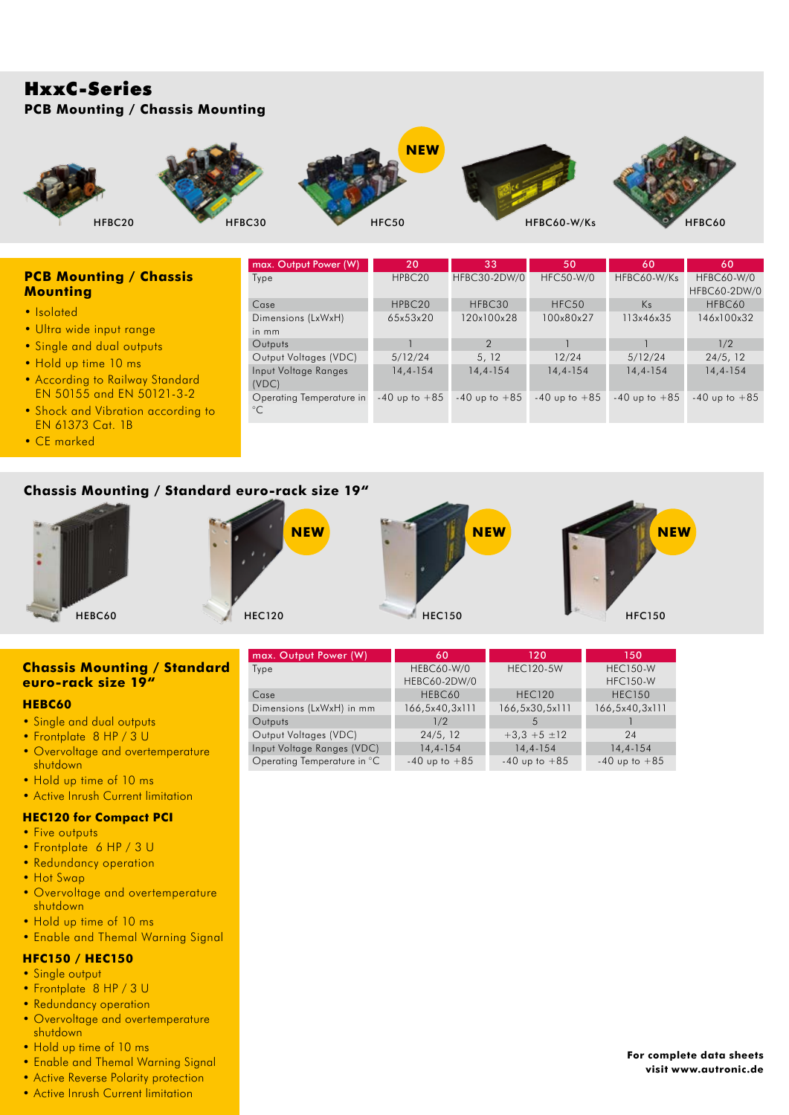## HxxC-Series **PCB Mounting / Chassis Mounting**



### **PCB Mounting / Chassis Mounting**

- Isolated
- Ultra wide input range
- Single and dual outputs
- Hold up time 10 ms
- According to Railway Standard EN 50155 and EN 50121-3-2
- Shock and Vibration according to EN 61373 Cat. 1B
- CE marked

| max. Output Power (W)    | 20                 | 33                | 50                | 60                | 60                |
|--------------------------|--------------------|-------------------|-------------------|-------------------|-------------------|
| Type                     | HPBC <sub>20</sub> | HFBC30-2DW/0      | <b>HFC50-W/0</b>  | HFBC60-W/Ks       | <b>HFBC60-W/0</b> |
|                          |                    |                   |                   |                   | HFBC60-2DW/0      |
| Case                     | HPBC <sub>20</sub> | HFBC30            | HFC <sub>50</sub> | K <sub>S</sub>    | HFBC60            |
| Dimensions (LxWxH)       | 65x53x20           | 120x100x28        | 100x80x27         | 113x46x35         | 146x100x32        |
| in mm                    |                    |                   |                   |                   |                   |
| Outputs                  |                    | $\mathcal{P}$     |                   |                   | 1/2               |
| Output Voltages (VDC)    | 5/12/24            | 5, 12             | 12/24             | 5/12/24           | 24/5, 12          |
| Input Voltage Ranges     | $14, 4 - 154$      | $14, 4 - 154$     | $14, 4 - 154$     | $14, 4 - 154$     | $14, 4 - 154$     |
| (VDC)                    |                    |                   |                   |                   |                   |
| Operating Temperature in | $-40$ up to $+85$  | $-40$ up to $+85$ | $-40$ up to $+85$ | $-40$ up to $+85$ | $-40$ up to $+85$ |
| $^{\circ}C$              |                    |                   |                   |                   |                   |

### **Chassis Mounting / Standard euro-rack size 19"**



#### **Chassis Mounting / Standard euro-rack size 19"**

#### **HEBC60**

- Single and dual outputs
- Frontplate 8 HP / 3 U
- Overvoltage and overtemperature shutdown
- Hold up time of 10 ms
- Active Inrush Current limitation

#### **HEC120 for Compact PCI**

- Five outputs
- Frontplate 6 HP / 3 U
- Redundancy operation
- Hot Swap
- Overvoltage and overtemperature shutdown
- Hold up time of 10 ms
- Enable and Themal Warning Signal

### **HFC150 / HEC150**

- Single output
- Frontplate 8 HP / 3 U
- Redundancy operation
- Overvoltage and overtemperature shutdown
- Hold up time of 10 ms • Enable and Themal Warning Signal
- Active Reverse Polarity protection
- Active Inrush Current limitation

| max. Output Power (W)       | 60                | 120               | 150               |
|-----------------------------|-------------------|-------------------|-------------------|
| Type                        | <b>HEBC60-W/0</b> | <b>HEC120-5W</b>  | <b>HEC150-W</b>   |
|                             | HEBC60-2DW/0      |                   | <b>HFC150-W</b>   |
| Case                        | HEBC60            | <b>HEC120</b>     | <b>HEC150</b>     |
| Dimensions (LxWxH) in mm    | 166,5x40,3x111    | 166,5x30,5x111    | 166,5x40,3x111    |
| Outputs                     | 1/2               | .5                |                   |
| Output Voltages (VDC)       | 24/5, 12          | $+3.3 +5 \pm 12$  | 24                |
| Input Voltage Ranges (VDC)  | $14, 4 - 154$     | $14.4 - 154$      | $14, 4 - 154$     |
| Operating Temperature in °C | $-40$ up to $+85$ | $-40$ up to $+85$ | $-40$ up to $+85$ |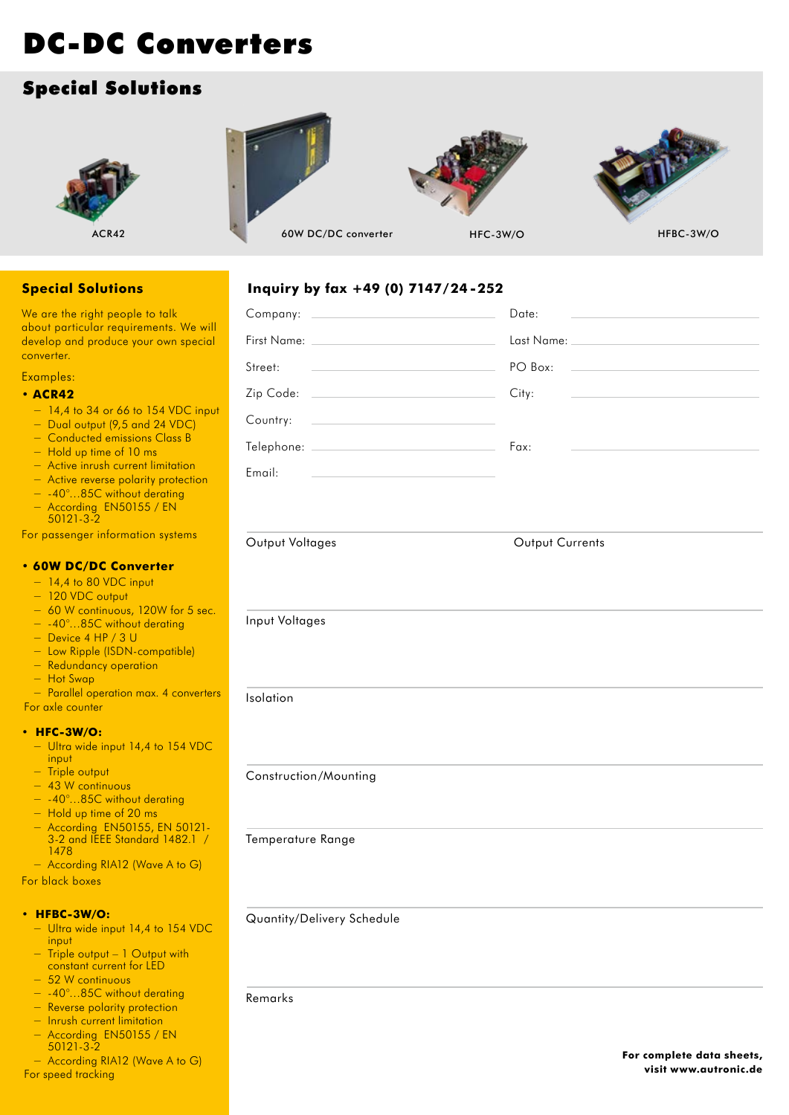# Special Solutions









ACR42 HFBC-3W/O 60W DC/DC converter HFC-3W/O

**Inquiry by fax +49 (0) 7147/24 -252**

## **Special Solutions**

We are the right people to talk about particular requirements. We will develop and produce your own special converter.

## Examples:

#### **• ACR42**

- − 14,4 to 34 or 66 to 154 VDC input
- − Dual output (9,5 and 24 VDC)
- − Conducted emissions Class B
- − Hold up time of 10 ms
- − Active inrush current limitation
- − Active reverse polarity protection
- − -40°…85C without derating
- − According EN50155 / EN 50121-3-2

For passenger information systems

#### **• 60W DC/DC Converter**

- − 14,4 to 80 VDC input
- − 120 VDC output
- − 60 W continuous, 120W for 5 sec.
- − -40°…85C without derating
- − Device 4 HP / 3 U
- − Low Ripple (ISDN-compatible)
- − Redundancy operation
- − Hot Swap

− Parallel operation max. 4 converte For axle counter

#### **• HFC-3W/O:**

- − Ultra wide input 14,4 to 154 VDC input
- − Triple output
- − 43 W continuous
- − -40°…85C without derating
- − Hold up time of 20 ms
- − According EN50155, EN 50121- 3-2 and IEEE Standard 1482.1 / 1478
- − According RIA12 (Wave A to G)

For black boxes

#### **• HFBC-3W/O:**

- − Ultra wide input 14,4 to 154 VDC input
- − Triple output 1 Output with constant current for LED
- − 52 W continuous
- − -40°…85C without derating
- − Reverse polarity protection
- − Inrush current limitation − According EN50155 / EN 50121-3-2
- − According RIA12 (Wave A to G) For speed tracking

|                                                                                                                                  | Date:           |
|----------------------------------------------------------------------------------------------------------------------------------|-----------------|
|                                                                                                                                  |                 |
| PO Box:<br>Street:                                                                                                               |                 |
| Zip Code: City:                                                                                                                  |                 |
| Country:<br><u> 1980 - John Stein, mars and de Britain and de Britain and de Britain and de Britain and de Britain and de Br</u> |                 |
|                                                                                                                                  |                 |
| Email:                                                                                                                           |                 |
|                                                                                                                                  |                 |
|                                                                                                                                  |                 |
| Output Voltages                                                                                                                  | Output Currents |
|                                                                                                                                  |                 |
|                                                                                                                                  |                 |
| Input Voltages                                                                                                                   |                 |
|                                                                                                                                  |                 |
|                                                                                                                                  |                 |
| Isolation                                                                                                                        |                 |
|                                                                                                                                  |                 |
|                                                                                                                                  |                 |
| Construction/Mounting                                                                                                            |                 |
|                                                                                                                                  |                 |
| Temperature Range                                                                                                                |                 |
|                                                                                                                                  |                 |
|                                                                                                                                  |                 |
| Quantity/Delivery Schedule                                                                                                       |                 |
|                                                                                                                                  |                 |
|                                                                                                                                  |                 |

### Remarks